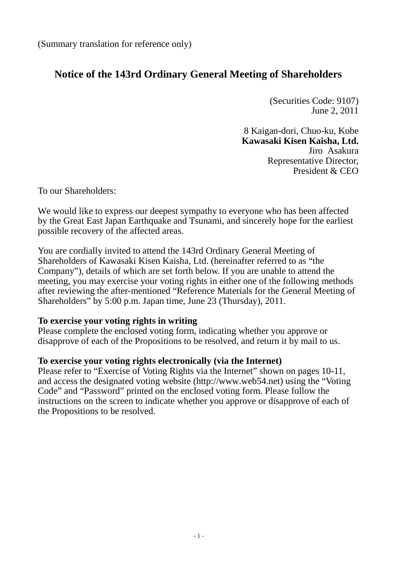(Summary translation for reference only)

# **Notice of the 143rd Ordinary General Meeting of Shareholders**

(Securities Code: 9107) June 2, 2011

8 Kaigan-dori, Chuo-ku, Kobe **Kawasaki Kisen Kaisha, Ltd.** Jiro Asakura Representative Director, President & CEO

To our Shareholders:

We would like to express our deepest sympathy to everyone who has been affected by the Great East Japan Earthquake and Tsunami, and sincerely hope for the earliest possible recovery of the affected areas.

You are cordially invited to attend the 143rd Ordinary General Meeting of Shareholders of Kawasaki Kisen Kaisha, Ltd. (hereinafter referred to as "the Company"), details of which are set forth below. If you are unable to attend the meeting, you may exercise your voting rights in either one of the following methods after reviewing the after-mentioned "Reference Materials for the General Meeting of Shareholders" by 5:00 p.m. Japan time, June 23 (Thursday), 2011.

### **To exercise your voting rights in writing**

Please complete the enclosed voting form, indicating whether you approve or disapprove of each of the Propositions to be resolved, and return it by mail to us.

#### **To exercise your voting rights electronically (via the Internet)**

Please refer to "Exercise of Voting Rights via the Internet" shown on pages 10-11, and access the designated voting website (http://www.web54.net) using the "Voting Code" and "Password" printed on the enclosed voting form. Please follow the instructions on the screen to indicate whether you approve or disapprove of each of the Propositions to be resolved.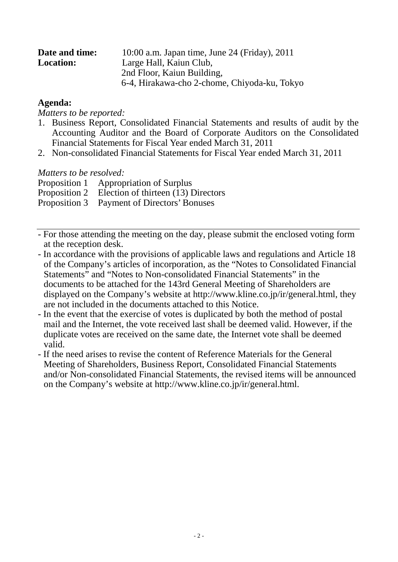| Date and time:   | 10:00 a.m. Japan time, June 24 (Friday), 2011 |
|------------------|-----------------------------------------------|
| <b>Location:</b> | Large Hall, Kaiun Club,                       |
|                  | 2nd Floor, Kaiun Building,                    |
|                  | 6-4, Hirakawa-cho 2-chome, Chiyoda-ku, Tokyo  |

### **Agenda:**

*Matters to be reported:*

- 1. Business Report, Consolidated Financial Statements and results of audit by the Accounting Auditor and the Board of Corporate Auditors on the Consolidated Financial Statements for Fiscal Year ended March 31, 2011
- 2. Non-consolidated Financial Statements for Fiscal Year ended March 31, 2011

*Matters to be resolved:*

Proposition 1 Appropriation of Surplus

Proposition 2 Election of thirteen (13) Directors

- Proposition 3 Payment of Directors' Bonuses
- For those attending the meeting on the day, please submit the enclosed voting form at the reception desk.
- In accordance with the provisions of applicable laws and regulations and Article 18 of the Company's articles of incorporation, as the "Notes to Consolidated Financial Statements" and "Notes to Non-consolidated Financial Statements" in the documents to be attached for the 143rd General Meeting of Shareholders are displayed on the Company's website at http://www.kline.co.jp/ir/general.html, they are not included in the documents attached to this Notice.
- In the event that the exercise of votes is duplicated by both the method of postal mail and the Internet, the vote received last shall be deemed valid. However, if the duplicate votes are received on the same date, the Internet vote shall be deemed valid.
- If the need arises to revise the content of Reference Materials for the General Meeting of Shareholders, Business Report, Consolidated Financial Statements and/or Non-consolidated Financial Statements, the revised items will be announced on the Company's website at http://www.kline.co.jp/ir/general.html.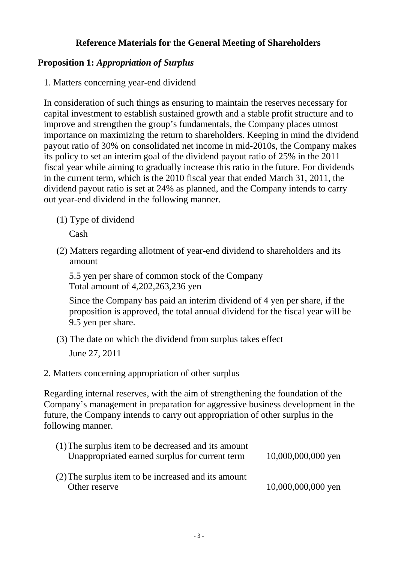## **Reference Materials for the General Meeting of Shareholders**

## **Proposition 1:** *Appropriation of Surplus*

1. Matters concerning year-end dividend

In consideration of such things as ensuring to maintain the reserves necessary for capital investment to establish sustained growth and a stable profit structure and to improve and strengthen the group's fundamentals, the Company places utmost importance on maximizing the return to shareholders. Keeping in mind the dividend payout ratio of 30% on consolidated net income in mid-2010s, the Company makes its policy to set an interim goal of the dividend payout ratio of 25% in the 2011 fiscal year while aiming to gradually increase this ratio in the future. For dividends in the current term, which is the 2010 fiscal year that ended March 31, 2011, the dividend payout ratio is set at 24% as planned, and the Company intends to carry out year-end dividend in the following manner.

(1) Type of dividend

Cash

(2) Matters regarding allotment of year-end dividend to shareholders and its amount

5.5 yen per share of common stock of the Company Total amount of 4,202,263,236 yen

Since the Company has paid an interim dividend of 4 yen per share, if the proposition is approved, the total annual dividend for the fiscal year will be 9.5 yen per share.

- (3) The date on which the dividend from surplus takes effect June 27, 2011
- 2. Matters concerning appropriation of other surplus

Regarding internal reserves, with the aim of strengthening the foundation of the Company's management in preparation for aggressive business development in the future, the Company intends to carry out appropriation of other surplus in the following manner.

| (1) The surplus item to be decreased and its amount<br>Unappropriated earned surplus for current term | 10,000,000,000 yen |
|-------------------------------------------------------------------------------------------------------|--------------------|
| (2) The surplus item to be increased and its amount<br>Other reserve                                  | 10,000,000,000 yen |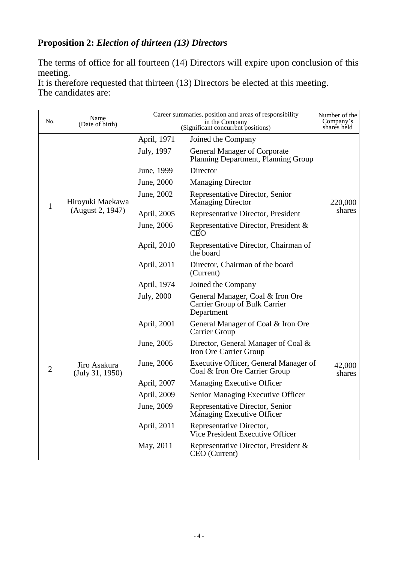# **Proposition 2:** *Election of thirteen (13) Directors*

The terms of office for all fourteen (14) Directors will expire upon conclusion of this meeting.

It is therefore requested that thirteen (13) Directors be elected at this meeting. The candidates are:

| No.            | Career summaries, position and areas of responsibility<br>Name<br>in the Company |                                    | Number of the<br>Company's                                                      |                  |
|----------------|----------------------------------------------------------------------------------|------------------------------------|---------------------------------------------------------------------------------|------------------|
|                | (Date of birth)                                                                  | (Significant concurrent positions) |                                                                                 | shares held      |
| $\mathbf{1}$   | Hiroyuki Maekawa                                                                 | April, 1971                        | Joined the Company                                                              |                  |
|                |                                                                                  | July, 1997                         | <b>General Manager of Corporate</b><br>Planning Department, Planning Group      | 220,000          |
|                |                                                                                  | June, 1999                         | Director                                                                        |                  |
|                |                                                                                  | June, 2000                         | <b>Managing Director</b>                                                        |                  |
|                |                                                                                  | June, 2002                         | Representative Director, Senior<br><b>Managing Director</b>                     |                  |
|                | (August 2, 1947)                                                                 | April, 2005                        | Representative Director, President                                              | shares           |
|                |                                                                                  | June, 2006                         | Representative Director, President &<br><b>CEO</b>                              |                  |
|                |                                                                                  | April, 2010                        | Representative Director, Chairman of<br>the board                               |                  |
|                |                                                                                  | April, 2011                        | Director, Chairman of the board<br>(Current)                                    |                  |
|                | Jiro Asakura<br>(July 31, 1950)                                                  | April, 1974                        | Joined the Company                                                              |                  |
|                |                                                                                  | July, 2000                         | General Manager, Coal & Iron Ore<br>Carrier Group of Bulk Carrier<br>Department |                  |
|                |                                                                                  | April, 2001                        | General Manager of Coal & Iron Ore<br>Carrier Group                             |                  |
| $\overline{2}$ |                                                                                  | June, 2005                         | Director, General Manager of Coal &<br>Iron Ore Carrier Group                   |                  |
|                |                                                                                  | June, 2006                         | Executive Officer, General Manager of<br>Coal & Iron Ore Carrier Group          | 42,000<br>shares |
|                |                                                                                  | April, 2007                        | Managing Executive Officer                                                      |                  |
|                |                                                                                  | April, 2009                        | Senior Managing Executive Officer                                               |                  |
|                |                                                                                  | June, 2009                         | Representative Director, Senior<br><b>Managing Executive Officer</b>            |                  |
|                |                                                                                  | April, 2011                        | Representative Director,<br>Vice President Executive Officer                    |                  |
|                |                                                                                  | May, 2011                          | Representative Director, President &<br>CEO (Current)                           |                  |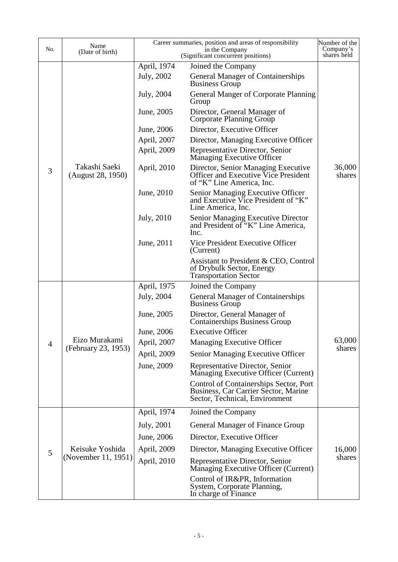| No.            | Name                                   | Career summaries, position and areas of responsibility<br>in the Company |                                                                                                                  | Number of the<br>Company's |
|----------------|----------------------------------------|--------------------------------------------------------------------------|------------------------------------------------------------------------------------------------------------------|----------------------------|
|                | (Date of birth)                        |                                                                          | shares held                                                                                                      |                            |
|                |                                        | April, 1974                                                              | Joined the Company                                                                                               |                            |
|                | Takashi Saeki<br>(August 28, 1950)     | July, 2002                                                               | <b>General Manager of Containerships</b><br><b>Business Group</b>                                                |                            |
|                |                                        | July, 2004                                                               | <b>General Manger of Corporate Planning</b><br>Group                                                             |                            |
|                |                                        | June, 2005                                                               | Director, General Manager of<br>Corporate Planning Group                                                         |                            |
|                |                                        | June, 2006                                                               | Director, Executive Officer                                                                                      |                            |
|                |                                        | April, 2007                                                              | Director, Managing Executive Officer                                                                             |                            |
|                |                                        | April, 2009                                                              | Representative Director, Senior<br>Managing Executive Officer                                                    |                            |
| 3              |                                        | April, 2010                                                              | Director, Senior Managing Executive<br>Officer and Executive Vice President<br>of "K" Line America, Inc.         | 36,000<br>shares           |
|                |                                        | June, 2010                                                               | Senior Managing Executive Officer<br>and Executive Vice President of "K"<br>Line America, Inc.                   |                            |
|                |                                        | July, 2010                                                               | <b>Senior Managing Executive Director</b><br>and President of "K" Line America,<br>Inc.                          |                            |
|                |                                        | June, 2011                                                               | Vice President Executive Officer<br>(Current)                                                                    |                            |
|                |                                        |                                                                          | Assistant to President & CEO, Control<br>of Drybulk Sector, Energy<br><b>Transportation Sector</b>               |                            |
|                |                                        | April, 1975                                                              | Joined the Company                                                                                               |                            |
|                | Eizo Murakami<br>(February 23, 1953)   | July, 2004                                                               | <b>General Manager of Containerships</b><br><b>Business Group</b>                                                |                            |
|                |                                        | June, 2005                                                               | Director, General Manager of<br><b>Containerships Business Group</b>                                             |                            |
|                |                                        | June, 2006                                                               | <b>Executive Officer</b>                                                                                         |                            |
| $\overline{4}$ |                                        | April, 2007                                                              | Managing Executive Officer                                                                                       | 63,000<br>shares           |
|                |                                        | April, 2009                                                              | Senior Managing Executive Officer                                                                                |                            |
|                |                                        | June, 2009                                                               | Representative Director, Senior<br>Managing Executive Officer (Current)                                          |                            |
|                |                                        |                                                                          | Control of Containerships Sector, Port<br>Business, Car Carrier Sector, Marine<br>Sector, Technical, Environment |                            |
|                |                                        | April, 1974                                                              | Joined the Company                                                                                               |                            |
| 5              |                                        | July, 2001                                                               | General Manager of Finance Group                                                                                 |                            |
|                | Keisuke Yoshida<br>(November 11, 1951) | June, 2006                                                               | Director, Executive Officer                                                                                      |                            |
|                |                                        | April, 2009                                                              | Director, Managing Executive Officer                                                                             | 16,000                     |
|                |                                        | April, 2010                                                              | Representative Director, Senior<br>Managing Executive Officer (Current)                                          | shares                     |
|                |                                        |                                                                          | Control of IR&PR, Information<br>System, Corporate Planning,<br>In charge of Finance                             |                            |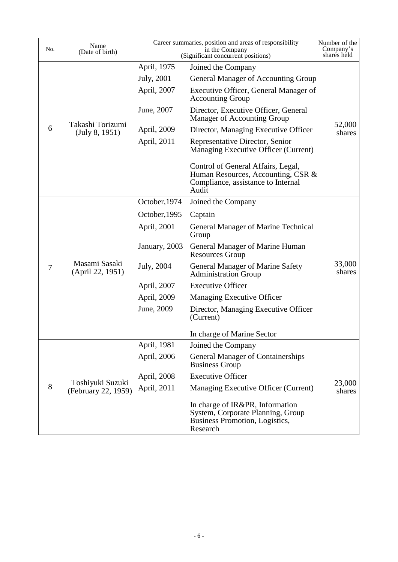| No.            | Name<br>(Date of birth)                 |               | Career summaries, position and areas of responsibility<br>in the Company<br>(Significant concurrent positions)          | Number of the<br>Company's<br>shares held |
|----------------|-----------------------------------------|---------------|-------------------------------------------------------------------------------------------------------------------------|-------------------------------------------|
|                |                                         | April, 1975   | Joined the Company                                                                                                      |                                           |
|                | Takashi Torizumi<br>(July 8, 1951)      | July, 2001    | General Manager of Accounting Group                                                                                     |                                           |
|                |                                         | April, 2007   | Executive Officer, General Manager of<br><b>Accounting Group</b>                                                        |                                           |
|                |                                         | June, 2007    | Director, Executive Officer, General<br>Manager of Accounting Group                                                     |                                           |
| 6              |                                         | April, 2009   | Director, Managing Executive Officer                                                                                    | 52,000<br>shares                          |
|                |                                         | April, 2011   | Representative Director, Senior<br>Managing Executive Officer (Current)                                                 |                                           |
|                |                                         |               | Control of General Affairs, Legal,<br>Human Resources, Accounting, CSR &<br>Compliance, assistance to Internal<br>Audit |                                           |
|                |                                         | October, 1974 | Joined the Company                                                                                                      |                                           |
|                | Masami Sasaki<br>(April 22, 1951)       | October, 1995 | Captain                                                                                                                 |                                           |
| $\overline{7}$ |                                         | April, 2001   | General Manager of Marine Technical<br>Group                                                                            |                                           |
|                |                                         | January, 2003 | General Manager of Marine Human<br><b>Resources Group</b>                                                               |                                           |
|                |                                         | July, 2004    | <b>General Manager of Marine Safety</b><br><b>Administration Group</b>                                                  | 33,000<br>shares                          |
|                |                                         | April, 2007   | <b>Executive Officer</b>                                                                                                |                                           |
|                |                                         | April, 2009   | Managing Executive Officer                                                                                              |                                           |
|                |                                         | June, 2009    | Director, Managing Executive Officer<br>(Current)                                                                       |                                           |
|                |                                         |               | In charge of Marine Sector                                                                                              |                                           |
|                | Toshiyuki Suzuki<br>(February 22, 1959) | April, 1981   | Joined the Company                                                                                                      |                                           |
| 8              |                                         | April, 2006   | <b>General Manager of Containerships</b><br><b>Business Group</b>                                                       |                                           |
|                |                                         | April, 2008   | <b>Executive Officer</b>                                                                                                |                                           |
|                |                                         | April, 2011   | Managing Executive Officer (Current)                                                                                    | 23,000<br>shares                          |
|                |                                         |               | In charge of IR&PR, Information<br>System, Corporate Planning, Group<br>Business Promotion, Logistics,<br>Research      |                                           |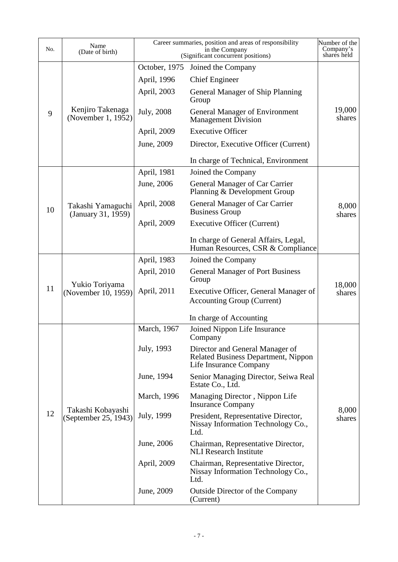| No. | Name<br>(Date of birth)                   |               | Career summaries, position and areas of responsibility<br>in the Company<br>(Significant concurrent positions) | Number of the<br>Company's<br>shares held |
|-----|-------------------------------------------|---------------|----------------------------------------------------------------------------------------------------------------|-------------------------------------------|
|     |                                           | October, 1975 | Joined the Company                                                                                             |                                           |
| 9   |                                           | April, 1996   | <b>Chief Engineer</b>                                                                                          |                                           |
|     | Kenjiro Takenaga<br>(November 1, 1952)    | April, 2003   | General Manager of Ship Planning<br>Group                                                                      |                                           |
|     |                                           | July, 2008    | <b>General Manager of Environment</b><br><b>Management Division</b>                                            | 19,000<br>shares                          |
|     |                                           | April, 2009   | <b>Executive Officer</b>                                                                                       |                                           |
|     |                                           | June, 2009    | Director, Executive Officer (Current)                                                                          |                                           |
|     |                                           |               | In charge of Technical, Environment                                                                            |                                           |
|     |                                           | April, 1981   | Joined the Company                                                                                             |                                           |
|     |                                           | June, 2006    | General Manager of Car Carrier<br>Planning & Development Group                                                 |                                           |
| 10  | Takashi Yamaguchi<br>(January 31, 1959)   | April, 2008   | General Manager of Car Carrier<br><b>Business Group</b>                                                        | 8,000<br>shares                           |
|     |                                           | April, 2009   | <b>Executive Officer (Current)</b>                                                                             |                                           |
|     |                                           |               | In charge of General Affairs, Legal,<br>Human Resources, CSR & Compliance                                      |                                           |
|     |                                           | April, 1983   | Joined the Company                                                                                             |                                           |
|     | Yukio Toriyama<br>(November 10, 1959)     | April, 2010   | <b>General Manager of Port Business</b><br>Group                                                               |                                           |
| 11  |                                           | April, 2011   | Executive Officer, General Manager of<br><b>Accounting Group (Current)</b>                                     | 18,000<br>shares                          |
|     |                                           |               | In charge of Accounting                                                                                        |                                           |
|     |                                           | March, 1967   | Joined Nippon Life Insurance<br>Company                                                                        |                                           |
| 12  | Takashi Kobayashi<br>(September 25, 1943) | July, 1993    | Director and General Manager of<br><b>Related Business Department, Nippon</b><br>Life Insurance Company        |                                           |
|     |                                           | June, 1994    | Senior Managing Director, Seiwa Real<br>Estate Co., Ltd.                                                       |                                           |
|     |                                           | March, 1996   | Managing Director, Nippon Life<br><b>Insurance Company</b>                                                     |                                           |
|     |                                           | July, 1999    | President, Representative Director,<br>Nissay Information Technology Co.,<br>Ltd.                              | 8,000<br>shares                           |
|     |                                           | June, 2006    | Chairman, Representative Director,<br><b>NLI</b> Research Institute                                            |                                           |
|     |                                           | April, 2009   | Chairman, Representative Director,<br>Nissay Information Technology Co.,<br>Ltd.                               |                                           |
|     |                                           | June, 2009    | <b>Outside Director of the Company</b><br>(Current)                                                            |                                           |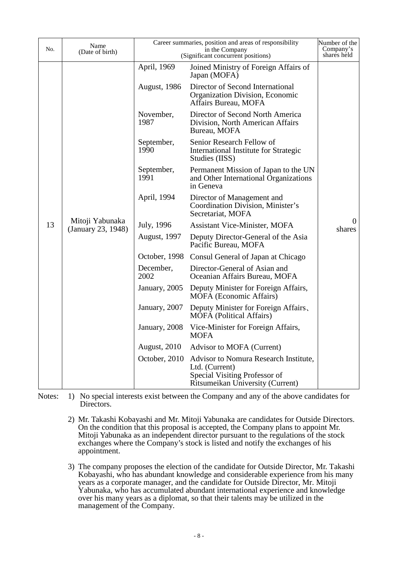| No. | Name<br>(Date of birth)                     | Career summaries, position and areas of responsibility<br>in the Company<br>(Significant concurrent positions) |                                                                                                                              | Number of the<br>Company's<br>shares held |
|-----|---------------------------------------------|----------------------------------------------------------------------------------------------------------------|------------------------------------------------------------------------------------------------------------------------------|-------------------------------------------|
|     | Mitoji Yabunaka<br>13<br>(January 23, 1948) | April, 1969                                                                                                    | Joined Ministry of Foreign Affairs of<br>Japan (MOFA)                                                                        |                                           |
|     |                                             | August, 1986                                                                                                   | Director of Second International<br>Organization Division, Economic<br>Affairs Bureau, MOFA                                  |                                           |
|     |                                             | November,<br>1987                                                                                              | Director of Second North America<br>Division, North American Affairs<br>Bureau, MOFA                                         |                                           |
|     |                                             | September,<br>1990                                                                                             | Senior Research Fellow of<br>International Institute for Strategic<br>Studies (IISS)                                         |                                           |
|     |                                             | September,<br>1991                                                                                             | Permanent Mission of Japan to the UN<br>and Other International Organizations<br>in Geneva                                   |                                           |
|     |                                             | April, 1994                                                                                                    | Director of Management and<br>Coordination Division, Minister's<br>Secretariat, MOFA                                         | $\theta$<br>shares                        |
|     |                                             | July, 1996                                                                                                     | <b>Assistant Vice-Minister, MOFA</b>                                                                                         |                                           |
|     |                                             | <b>August</b> , 1997                                                                                           | Deputy Director-General of the Asia<br>Pacific Bureau, MOFA                                                                  |                                           |
|     |                                             | October, 1998                                                                                                  | Consul General of Japan at Chicago                                                                                           |                                           |
|     |                                             | December,<br>2002                                                                                              | Director-General of Asian and<br>Oceanian Affairs Bureau, MOFA                                                               |                                           |
|     |                                             | January, 2005                                                                                                  | Deputy Minister for Foreign Affairs,<br><b>MOFA</b> (Economic Affairs)                                                       |                                           |
|     |                                             | January, 2007                                                                                                  | Deputy Minister for Foreign Affairs,<br><b>MOFA</b> (Political Affairs)                                                      |                                           |
|     |                                             | January, 2008                                                                                                  | Vice-Minister for Foreign Affairs,<br><b>MOFA</b>                                                                            |                                           |
|     |                                             | <b>August, 2010</b>                                                                                            | Advisor to MOFA (Current)                                                                                                    |                                           |
|     |                                             | October, 2010                                                                                                  | Advisor to Nomura Research Institute,<br>Ltd. (Current)<br>Special Visiting Professor of<br>Ritsumeikan University (Current) |                                           |

Notes: 1) No special interests exist between the Company and any of the above candidates for Directors.

- 2) Mr. Takashi Kobayashi and Mr. Mitoji Yabunaka are candidates for Outside Directors. On the condition that this proposal is accepted, the Company plans to appoint Mr. Mitoji Yabunaka as an independent director pursuant to the regulations of the stock exchanges where the Company's stock is listed and notify the exchanges of his appointment.
- 3) The company proposes the election of the candidate for Outside Director, Mr. Takashi Kobayashi, who has abundant knowledge and considerable experience from his many years as a corporate manager, and the candidate for Outside Director, Mr. Mitoji Yabunaka, who has accumulated abundant international experience and knowledge over his many years as a diplomat, so that their talents may be utilized in the management of the Company.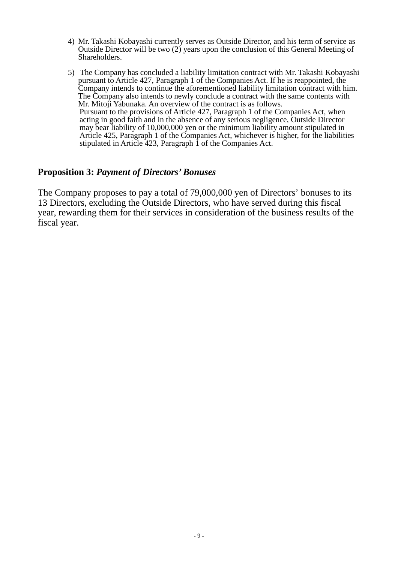- 4) Mr. Takashi Kobayashi currently serves as Outside Director, and his term of service as Outside Director will be two (2) years upon the conclusion of this General Meeting of Shareholders.
- 5) The Company has concluded a liability limitation contract with Mr. Takashi Kobayashi pursuant to Article 427, Paragraph 1 of the Companies Act. If he is reappointed, the Company intends to continue the aforementioned liability limitation contract with him. The Company also intends to newly conclude a contract with the same contents with Mr. Mitoji Yabunaka. An overview of the contract is as follows. Mr. Mitoji Yabunaka. An overview of the contract is as follows. Pursuant to the provisions of Article 427, Paragraph 1 of the Companies Act, when acting in good faith and in the absence of any serious negligence, Outside Director may bear liability of 10,000,000 yen or the minimum liability amount stipulated in Article 425, Paragraph 1 of the Companies Act, whichever is higher, for the liabilities stipulated in Article 423, Paragraph 1 of the Companies Act.

### **Proposition 3:** *Payment of Directors' Bonuses*

The Company proposes to pay a total of 79,000,000 yen of Directors' bonuses to its 13 Directors, excluding the Outside Directors, who have served during this fiscal year, rewarding them for their services in consideration of the business results of the fiscal year.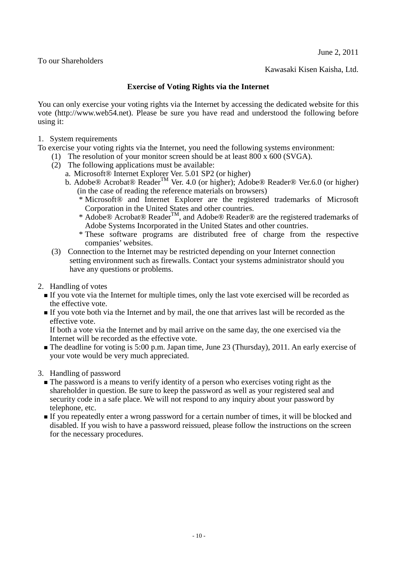June 2, 2011

To our Shareholders

Kawasaki Kisen Kaisha, Ltd.

#### **Exercise of Voting Rights via the Internet**

You can only exercise your voting rights via the Internet by accessing the dedicated website for this vote (http://www.web54.net). Please be sure you have read and understood the following before using it:

1. System requirements

To exercise your voting rights via the Internet, you need the following systems environment:

- (1) The resolution of your monitor screen should be at least 800 x 600 (SVGA).
- (2) The following applications must be available:
	- a. Microsoft® Internet Explorer Ver. 5.01 SP2 (or higher)
	- b. Adobe® Acrobat® Reader<sup>™</sup> Ver. 4.0 (or higher); Adobe® Reader® Ver.6.0 (or higher) (in the case of reading the reference materials on browsers)
		- \* Microsoft® and Internet Explorer are the registered trademarks of Microsoft Corporation in the United States and other countries.
		- \* Adobe® Acrobat® ReaderTM, and Adobe® Reader® are the registered trademarks of Adobe Systems Incorporated in the United States and other countries.
		- \* These software programs are distributed free of charge from the respective companies' websites.
- (3) Connection to the Internet may be restricted depending on your Internet connection setting environment such as firewalls. Contact your systems administrator should you have any questions or problems.
- 2. Handling of votes
	- If you vote via the Internet for multiple times, only the last vote exercised will be recorded as the effective vote.
	- If you vote both via the Internet and by mail, the one that arrives last will be recorded as the effective vote.

If both a vote via the Internet and by mail arrive on the same day, the one exercised via the Internet will be recorded as the effective vote.

The deadline for voting is 5:00 p.m. Japan time, June 23 (Thursday), 2011. An early exercise of your vote would be very much appreciated.

3. Handling of password

- The password is a means to verify identity of a person who exercises voting right as the shareholder in question. Be sure to keep the password as well as your registered seal and security code in a safe place. We will not respond to any inquiry about your password by telephone, etc.
- If you repeatedly enter a wrong password for a certain number of times, it will be blocked and disabled. If you wish to have a password reissued, please follow the instructions on the screen for the necessary procedures.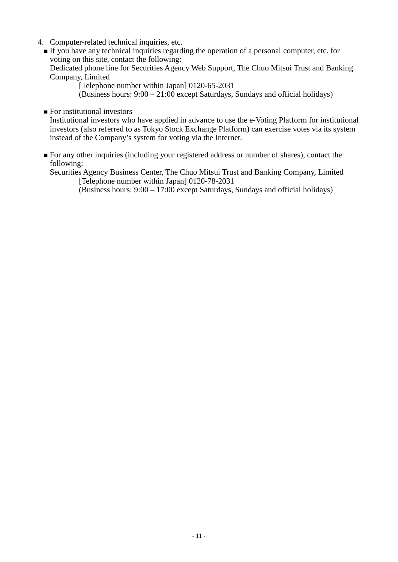- 4. Computer-related technical inquiries, etc.
	- If you have any technical inquiries regarding the operation of a personal computer, etc. for voting on this site, contact the following: Dedicated phone line for Securities Agency Web Support, The Chuo Mitsui Trust and Banking Company, Limited

[Telephone number within Japan] 0120-65-2031

(Business hours: 9:00 – 21:00 except Saturdays, Sundays and official holidays)

**For institutional investors** 

Institutional investors who have applied in advance to use the e-Voting Platform for institutional investors (also referred to as Tokyo Stock Exchange Platform) can exercise votes via its system instead of the Company's system for voting via the Internet.

 For any other inquiries (including your registered address or number of shares), contact the following:

Securities Agency Business Center, The Chuo Mitsui Trust and Banking Company, Limited [Telephone number within Japan] 0120-78-2031

(Business hours: 9:00 – 17:00 except Saturdays, Sundays and official holidays)